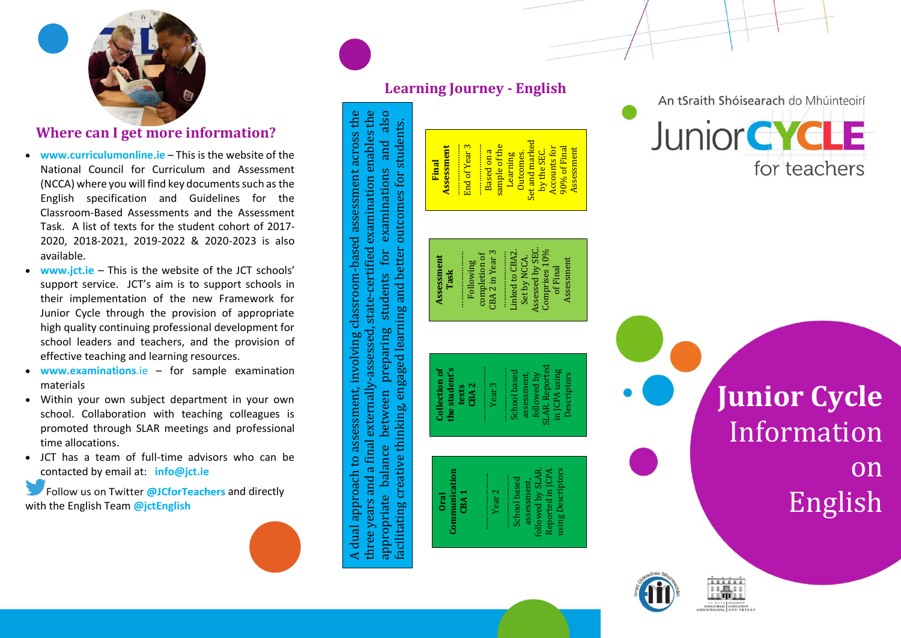

# **Where can I get more information?**

- **www.curriculumonline.ie** This is the website of the National Council for Curriculum and Assessment (NCCA) where you will find key documents such asthe English specification and Guidelines for the Classroom -Based Assessments and the Assessment Task. A list of texts for the student cohort of 2017 - 2020, 201 8 -2021, 2019 -2022 & 2020 -2023 is also available .
- **www.jct.ie** This is the website of the JCT schools' support service. JC T's aim is to support schools in their implementation of the new Framework for Junior Cycle through the provision of appropriate high quality continuing professional development for school leaders and teachers, and the provision of effective teaching and learning resources.
- **www .examinations**.ie for sample examination material s
- Within your own subject department in your own school. Collaboration with teaching colleagues is promoted through SLAR meetings and professional time allocations .
- JCT has a team of full-time advisors who can be contacted by email at: **info@jct.ie**

Follow us on Twitter @JCforTeachers and directly with the English Team **@jctEnglish**

## **Learning Journey - English**

A dual approach to assessment, involving classroom-based assessment across the three years and a final externally-assessed, state-certified examination enables the appropriate balance between preparing students for examinations and also A dual approach to assessment, involving classroom-based assessment across the three years and a final externally-assessed, state-certified examination enables the also facilitating creative thinking, engaged learning and better outcomes for students. facilitating creative thinking, engaged learning and better outcomes for students. examinations and for students between preparing appropriate balance



An tSraith Shóisearach do Mhúinteoirí **Junior CYCLE** for teachers

> **Junior Cycle** Information on English





Quick